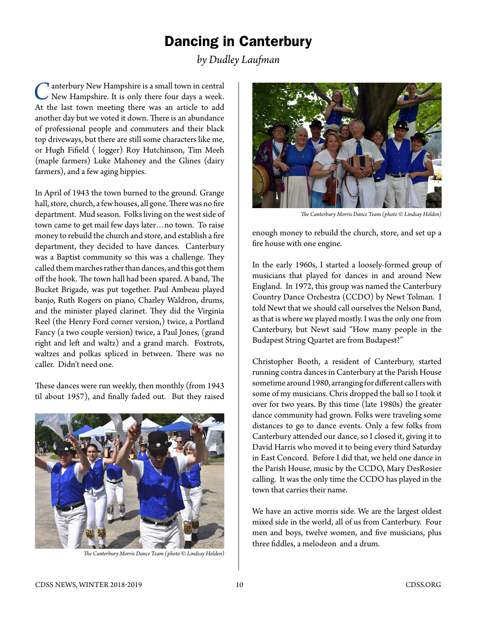## Dancing in Canterbury

*by Dudley Laufman*

**T** anterbury New Hampshire is a small town in central New Hampshire. It is only there four days a week. At the last town meeting there was an article to add another day but we voted it down. There is an abundance of professional people and commuters and their black top driveways, but there are still some characters like me, or Hugh Fifield ( logger) Roy Hutchinson, Tim Meeh (maple farmers) Luke Mahoney and the Glines (dairy farmers), and a few aging hippies.

In April of 1943 the town burned to the ground. Grange hall, store, church, a few houses, all gone. There was no fire department. Mud season. Folks living on the west side of town came to get mail few days later…no town. To raise money to rebuild the church and store, and establish a fire department, they decided to have dances. Canterbury was a Baptist community so this was a challenge. They called them marches rather than dances, and this got them off the hook. The town hall had been spared. A band, The Bucket Brigade, was put together. Paul Ambeau played banjo, Ruth Rogers on piano, Charley Waldron, drums, and the minister played clarinet. They did the Virginia Reel (the Henry Ford corner version,) twice, a Portland Fancy (a two couple version) twice, a Paul Jones, (grand right and left and waltz) and a grand march. Foxtrots, waltzes and polkas spliced in between. There was no caller. Didn't need one.

These dances were run weekly, then monthly (from 1943 til about 1957), and finally faded out. But they raised



*The Canterbury Morris Dance Team (photo © Lindsay Holden)*



*The Canterbury Morris Dance Team (photo © Lindsay Holden)*

enough money to rebuild the church, store, and set up a fire house with one engine.

In the early 1960s, I started a loosely-formed group of musicians that played for dances in and around New England. In 1972, this group was named the Canterbury Country Dance Orchestra (CCDO) by Newt Tolman. I told Newt that we should call ourselves the Nelson Band, as that is where we played mostly. I was the only one from Canterbury, but Newt said "How many people in the Budapest String Quartet are from Budapest?"

Christopher Booth, a resident of Canterbury, started running contra dances in Canterbury at the Parish House sometime around 1980, arranging for different callers with some of my musicians. Chris dropped the ball so I took it over for two years. By this time (late 1980s) the greater dance community had grown. Folks were traveling some distances to go to dance events. Only a few folks from Canterbury attended our dance, so I closed it, giving it to David Harris who moved it to being every third Saturday in East Concord. Before I did that, we held one dance in the Parish House, music by the CCDO, Mary DesRosier calling. It was the only time the CCDO has played in the town that carries their name.

We have an active morris side. We are the largest oldest mixed side in the world, all of us from Canterbury. Four men and boys, twelve women, and five musicians, plus three fiddles, a melodeon and a drum.